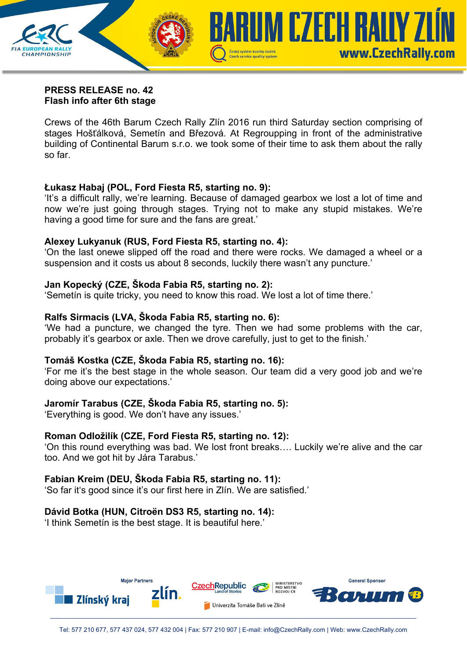

#### **PRESS RELEASE no. 42 Flash info after 6th stage**

Crews of the 46th Barum Czech Rally Zlín 2016 run third Saturday section comprising of stages Hošťálková, Semetín and Březová. At Regroupping in front of the administrative building of Continental Barum s.r.o. we took some of their time to ask them about the rally so far.

### **Łukasz Habaj (POL, Ford Fiesta R5, starting no. 9):**

'It's a difficult rally, we're learning. Because of damaged gearbox we lost a lot of time and now we're just going through stages. Trying not to make any stupid mistakes. We're having a good time for sure and the fans are great.'

### **Alexey Lukyanuk (RUS, Ford Fiesta R5, starting no. 4):**

'On the last onewe slipped off the road and there were rocks. We damaged a wheel or a suspension and it costs us about 8 seconds, luckily there wasn't any puncture.'

# **Jan Kopecký (CZE, Škoda Fabia R5, starting no. 2):**

'Semetín is quite tricky, you need to know this road. We lost a lot of time there.'

# **Ralfs Sirmacis (LVA, Škoda Fabia R5, starting no. 6):**

'We had a puncture, we changed the tyre. Then we had some problems with the car, probably it's gearbox or axle. Then we drove carefully, just to get to the finish.'

# **Tomáš Kostka (CZE, Škoda Fabia R5, starting no. 16):**

'For me it's the best stage in the whole season. Our team did a very good job and we're doing above our expectations.'

# **Jaromír Tarabus (CZE, Škoda Fabia R5, starting no. 5):**

'Everything is good. We don't have any issues.'

### **Roman Odložilík (CZE, Ford Fiesta R5, starting no. 12):**

'On this round everything was bad. We lost front breaks…. Luckily we're alive and the car too. And we got hit by Jára Tarabus.'

### **Fabian Kreim (DEU, Škoda Fabia R5, starting no. 11):**

'So far it's good since it's our first here in Zlín. We are satisfied.'

# **Dávid Botka (HUN, Citroën DS3 R5, starting no. 14):**

'I think Semetín is the best stage. It is beautiful here.'